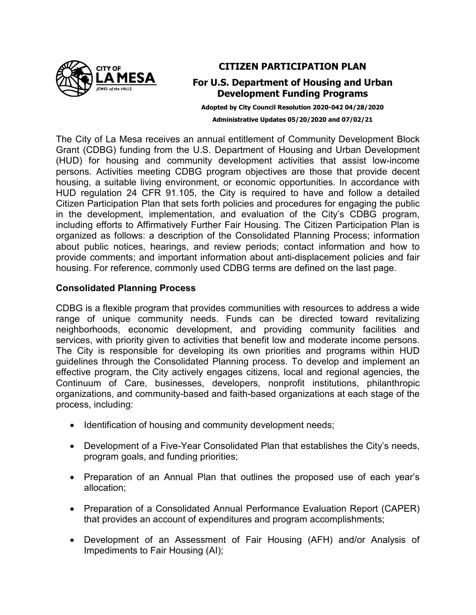

## **CITIZEN PARTICIPATION PLAN**

# **For U.S. Department of Housing and Urban Development Funding Programs**

**Adopted by City Council Resolution 2020-042 04/28/2020 Administrative Updates 05/20/2020 and 07/02/21**

The City of La Mesa receives an annual entitlement of Community Development Block Grant (CDBG) funding from the U.S. Department of Housing and Urban Development (HUD) for housing and community development activities that assist low-income persons. Activities meeting CDBG program objectives are those that provide decent housing, a suitable living environment, or economic opportunities. In accordance with HUD regulation 24 CFR 91.105, the City is required to have and follow a detailed Citizen Participation Plan that sets forth policies and procedures for engaging the public in the development, implementation, and evaluation of the City's CDBG program, including efforts to Affirmatively Further Fair Housing. The Citizen Participation Plan is organized as follows: a description of the Consolidated Planning Process; information about public notices, hearings, and review periods; contact information and how to provide comments; and important information about anti-displacement policies and fair housing. For reference, commonly used CDBG terms are defined on the last page.

## **Consolidated Planning Process**

CDBG is a flexible program that provides communities with resources to address a wide range of unique community needs. Funds can be directed toward revitalizing neighborhoods, economic development, and providing community facilities and services, with priority given to activities that benefit low and moderate income persons. The City is responsible for developing its own priorities and programs within HUD guidelines through the Consolidated Planning process. To develop and implement an effective program, the City actively engages citizens, local and regional agencies, the Continuum of Care, businesses, developers, nonprofit institutions, philanthropic organizations, and community-based and faith-based organizations at each stage of the process, including:

- Identification of housing and community development needs;
- Development of a Five-Year Consolidated Plan that establishes the City's needs, program goals, and funding priorities;
- Preparation of an Annual Plan that outlines the proposed use of each year's allocation;
- Preparation of a Consolidated Annual Performance Evaluation Report (CAPER) that provides an account of expenditures and program accomplishments;
- Development of an Assessment of Fair Housing (AFH) and/or Analysis of Impediments to Fair Housing (AI);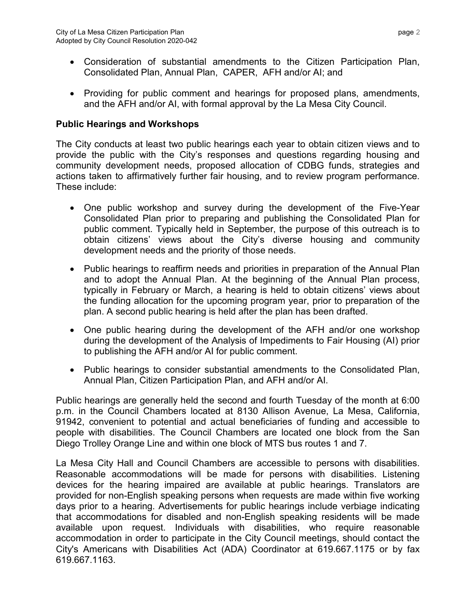- Consideration of substantial amendments to the Citizen Participation Plan, Consolidated Plan, Annual Plan, CAPER, AFH and/or AI; and
- Providing for public comment and hearings for proposed plans, amendments, and the AFH and/or AI, with formal approval by the La Mesa City Council.

# **Public Hearings and Workshops**

The City conducts at least two public hearings each year to obtain citizen views and to provide the public with the City's responses and questions regarding housing and community development needs, proposed allocation of CDBG funds, strategies and actions taken to affirmatively further fair housing, and to review program performance. These include:

- One public workshop and survey during the development of the Five-Year Consolidated Plan prior to preparing and publishing the Consolidated Plan for public comment. Typically held in September, the purpose of this outreach is to obtain citizens' views about the City's diverse housing and community development needs and the priority of those needs.
- Public hearings to reaffirm needs and priorities in preparation of the Annual Plan and to adopt the Annual Plan. At the beginning of the Annual Plan process, typically in February or March, a hearing is held to obtain citizens' views about the funding allocation for the upcoming program year, prior to preparation of the plan. A second public hearing is held after the plan has been drafted.
- One public hearing during the development of the AFH and/or one workshop during the development of the Analysis of Impediments to Fair Housing (AI) prior to publishing the AFH and/or AI for public comment.
- Public hearings to consider substantial amendments to the Consolidated Plan, Annual Plan, Citizen Participation Plan, and AFH and/or AI.

Public hearings are generally held the second and fourth Tuesday of the month at 6:00 p.m. in the Council Chambers located at 8130 Allison Avenue, La Mesa, California, 91942, convenient to potential and actual beneficiaries of funding and accessible to people with disabilities. The Council Chambers are located one block from the San Diego Trolley Orange Line and within one block of MTS bus routes 1 and 7.

La Mesa City Hall and Council Chambers are accessible to persons with disabilities. Reasonable accommodations will be made for persons with disabilities. Listening devices for the hearing impaired are available at public hearings. Translators are provided for non-English speaking persons when requests are made within five working days prior to a hearing. Advertisements for public hearings include verbiage indicating that accommodations for disabled and non-English speaking residents will be made available upon request. Individuals with disabilities, who require reasonable accommodation in order to participate in the City Council meetings, should contact the City's Americans with Disabilities Act (ADA) Coordinator at 619.667.1175 or by fax 619.667.1163.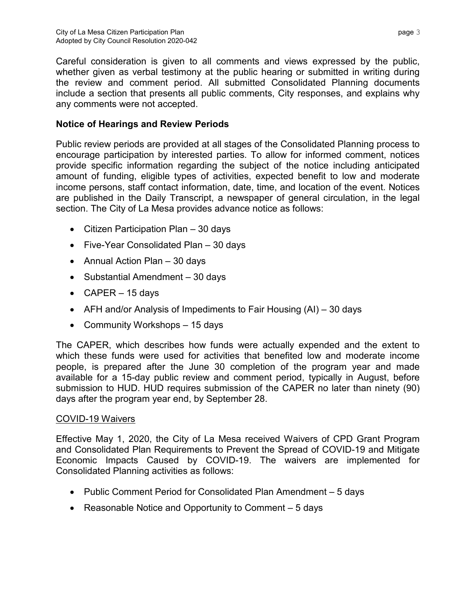Careful consideration is given to all comments and views expressed by the public, whether given as verbal testimony at the public hearing or submitted in writing during the review and comment period. All submitted Consolidated Planning documents include a section that presents all public comments, City responses, and explains why any comments were not accepted.

# **Notice of Hearings and Review Periods**

Public review periods are provided at all stages of the Consolidated Planning process to encourage participation by interested parties. To allow for informed comment, notices provide specific information regarding the subject of the notice including anticipated amount of funding, eligible types of activities, expected benefit to low and moderate income persons, staff contact information, date, time, and location of the event. Notices are published in the Daily Transcript, a newspaper of general circulation, in the legal section. The City of La Mesa provides advance notice as follows:

- Citizen Participation Plan 30 days
- Five-Year Consolidated Plan 30 days
- Annual Action Plan 30 days
- Substantial Amendment 30 days
- $CAPER 15 \, days$
- AFH and/or Analysis of Impediments to Fair Housing (AI) 30 days
- Community Workshops 15 days

The CAPER, which describes how funds were actually expended and the extent to which these funds were used for activities that benefited low and moderate income people, is prepared after the June 30 completion of the program year and made available for a 15-day public review and comment period, typically in August, before submission to HUD. HUD requires submission of the CAPER no later than ninety (90) days after the program year end, by September 28.

## COVID-19 Waivers

Effective May 1, 2020, the City of La Mesa received Waivers of CPD Grant Program and Consolidated Plan Requirements to Prevent the Spread of COVID-19 and Mitigate Economic Impacts Caused by COVID-19. The waivers are implemented for Consolidated Planning activities as follows:

- Public Comment Period for Consolidated Plan Amendment 5 days
- Reasonable Notice and Opportunity to Comment 5 days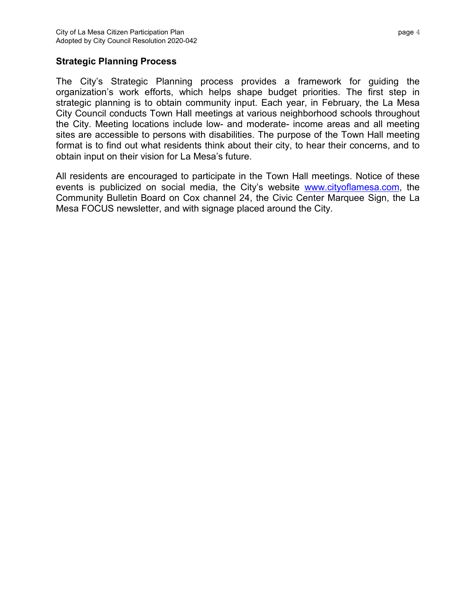### **Strategic Planning Process**

The City's Strategic Planning process provides a framework for guiding the organization's work efforts, which helps shape budget priorities. The first step in strategic planning is to obtain community input. Each year, in February, the La Mesa City Council conducts Town Hall meetings at various neighborhood schools throughout the City. Meeting locations include low- and moderate- income areas and all meeting sites are accessible to persons with disabilities. The purpose of the Town Hall meeting format is to find out what residents think about their city, to hear their concerns, and to obtain input on their vision for La Mesa's future.

All residents are encouraged to participate in the Town Hall meetings. Notice of these events is publicized on social media, the City's website [www.cityoflamesa.com,](http://www.cityoflamesa.com/) the Community Bulletin Board on Cox channel 24, the Civic Center Marquee Sign, the La Mesa FOCUS newsletter, and with signage placed around the City.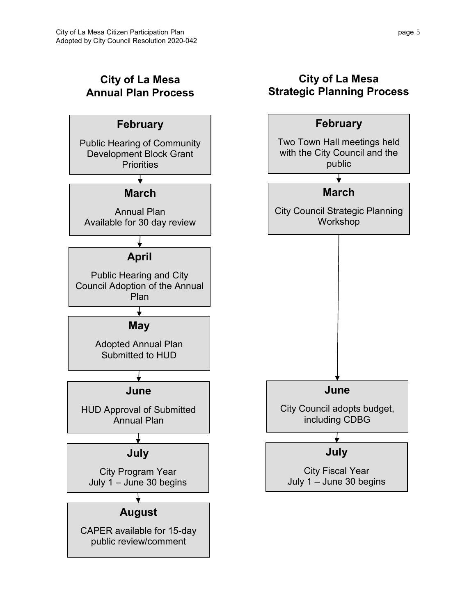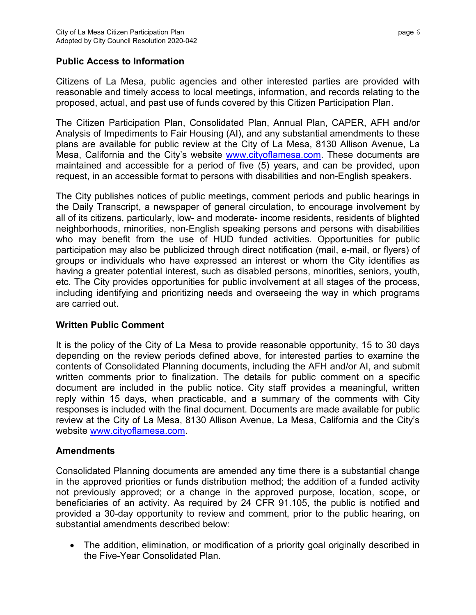### **Public Access to Information**

Citizens of La Mesa, public agencies and other interested parties are provided with reasonable and timely access to local meetings, information, and records relating to the proposed, actual, and past use of funds covered by this Citizen Participation Plan.

The Citizen Participation Plan, Consolidated Plan, Annual Plan, CAPER, AFH and/or Analysis of Impediments to Fair Housing (AI), and any substantial amendments to these plans are available for public review at the City of La Mesa, 8130 Allison Avenue, La Mesa, California and the City's website [www.cityoflamesa.com.](http://www.cityoflamesa.com/) These documents are maintained and accessible for a period of five (5) years, and can be provided, upon request, in an accessible format to persons with disabilities and non-English speakers.

The City publishes notices of public meetings, comment periods and public hearings in the Daily Transcript, a newspaper of general circulation, to encourage involvement by all of its citizens, particularly, low- and moderate- income residents, residents of blighted neighborhoods, minorities, non-English speaking persons and persons with disabilities who may benefit from the use of HUD funded activities. Opportunities for public participation may also be publicized through direct notification (mail, e-mail, or flyers) of groups or individuals who have expressed an interest or whom the City identifies as having a greater potential interest, such as disabled persons, minorities, seniors, youth, etc. The City provides opportunities for public involvement at all stages of the process, including identifying and prioritizing needs and overseeing the way in which programs are carried out.

## **Written Public Comment**

It is the policy of the City of La Mesa to provide reasonable opportunity, 15 to 30 days depending on the review periods defined above, for interested parties to examine the contents of Consolidated Planning documents, including the AFH and/or AI, and submit written comments prior to finalization. The details for public comment on a specific document are included in the public notice. City staff provides a meaningful, written reply within 15 days, when practicable, and a summary of the comments with City responses is included with the final document. Documents are made available for public review at the City of La Mesa, 8130 Allison Avenue, La Mesa, California and the City's website [www.cityoflamesa.com.](http://www.cityoflamesa.com/)

#### **Amendments**

Consolidated Planning documents are amended any time there is a substantial change in the approved priorities or funds distribution method; the addition of a funded activity not previously approved; or a change in the approved purpose, location, scope, or beneficiaries of an activity. As required by 24 CFR 91.105, the public is notified and provided a 30-day opportunity to review and comment, prior to the public hearing, on substantial amendments described below:

• The addition, elimination, or modification of a priority goal originally described in the Five-Year Consolidated Plan.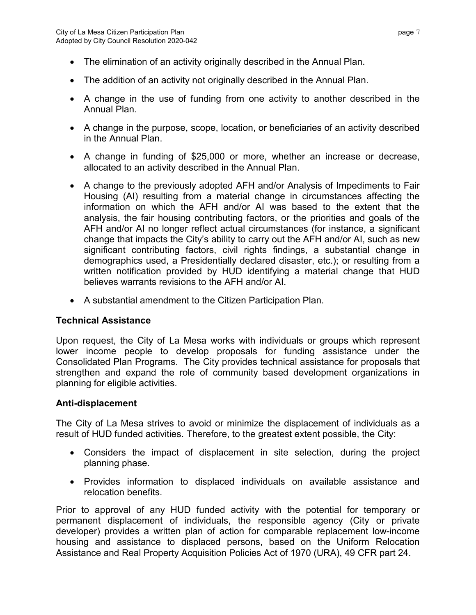- The elimination of an activity originally described in the Annual Plan.
- The addition of an activity not originally described in the Annual Plan.
- A change in the use of funding from one activity to another described in the Annual Plan.
- A change in the purpose, scope, location, or beneficiaries of an activity described in the Annual Plan.
- A change in funding of \$25,000 or more, whether an increase or decrease, allocated to an activity described in the Annual Plan.
- A change to the previously adopted AFH and/or Analysis of Impediments to Fair Housing (AI) resulting from a material change in circumstances affecting the information on which the AFH and/or AI was based to the extent that the analysis, the fair housing contributing factors, or the priorities and goals of the AFH and/or AI no longer reflect actual circumstances (for instance, a significant change that impacts the City's ability to carry out the AFH and/or AI, such as new significant contributing factors, civil rights findings, a substantial change in demographics used, a Presidentially declared disaster, etc.); or resulting from a written notification provided by HUD identifying a material change that HUD believes warrants revisions to the AFH and/or AI.
- A substantial amendment to the Citizen Participation Plan.

#### **Technical Assistance**

Upon request, the City of La Mesa works with individuals or groups which represent lower income people to develop proposals for funding assistance under the Consolidated Plan Programs. The City provides technical assistance for proposals that strengthen and expand the role of community based development organizations in planning for eligible activities.

#### **Anti-displacement**

The City of La Mesa strives to avoid or minimize the displacement of individuals as a result of HUD funded activities. Therefore, to the greatest extent possible, the City:

- Considers the impact of displacement in site selection, during the project planning phase.
- Provides information to displaced individuals on available assistance and relocation benefits.

Prior to approval of any HUD funded activity with the potential for temporary or permanent displacement of individuals, the responsible agency (City or private developer) provides a written plan of action for comparable replacement low-income housing and assistance to displaced persons, based on the Uniform Relocation Assistance and Real Property Acquisition Policies Act of 1970 (URA), 49 CFR part 24.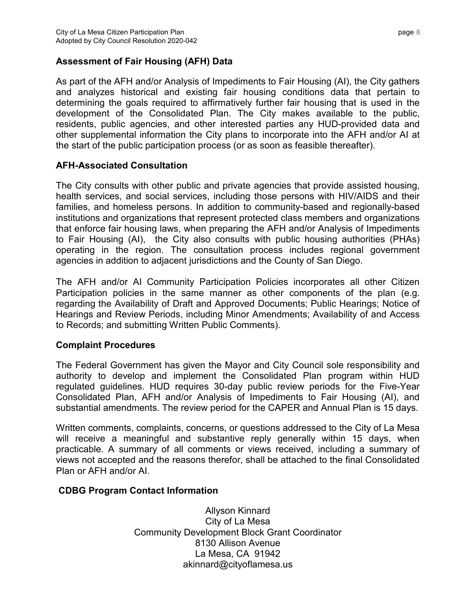## **Assessment of Fair Housing (AFH) Data**

As part of the AFH and/or Analysis of Impediments to Fair Housing (AI), the City gathers and analyzes historical and existing fair housing conditions data that pertain to determining the goals required to affirmatively further fair housing that is used in the development of the Consolidated Plan. The City makes available to the public, residents, public agencies, and other interested parties any HUD-provided data and other supplemental information the City plans to incorporate into the AFH and/or AI at the start of the public participation process (or as soon as feasible thereafter).

## **AFH-Associated Consultation**

The City consults with other public and private agencies that provide assisted housing, health services, and social services, including those persons with HIV/AIDS and their families, and homeless persons. In addition to community-based and regionally-based institutions and organizations that represent protected class members and organizations that enforce fair housing laws, when preparing the AFH and/or Analysis of Impediments to Fair Housing (AI), the City also consults with public housing authorities (PHAs) operating in the region. The consultation process includes regional government agencies in addition to adjacent jurisdictions and the County of San Diego.

The AFH and/or AI Community Participation Policies incorporates all other Citizen Participation policies in the same manner as other components of the plan (e.g. regarding the Availability of Draft and Approved Documents; Public Hearings; Notice of Hearings and Review Periods, including Minor Amendments; Availability of and Access to Records; and submitting Written Public Comments).

## **Complaint Procedures**

The Federal Government has given the Mayor and City Council sole responsibility and authority to develop and implement the Consolidated Plan program within HUD regulated guidelines. HUD requires 30-day public review periods for the Five-Year Consolidated Plan, AFH and/or Analysis of Impediments to Fair Housing (AI), and substantial amendments. The review period for the CAPER and Annual Plan is 15 days.

Written comments, complaints, concerns, or questions addressed to the City of La Mesa will receive a meaningful and substantive reply generally within 15 days, when practicable. A summary of all comments or views received, including a summary of views not accepted and the reasons therefor, shall be attached to the final Consolidated Plan or AFH and/or AI.

## **CDBG Program Contact Information**

Allyson Kinnard City of La Mesa Community Development Block Grant Coordinator 8130 Allison Avenue La Mesa, CA 91942 akinnard@cityoflamesa.us